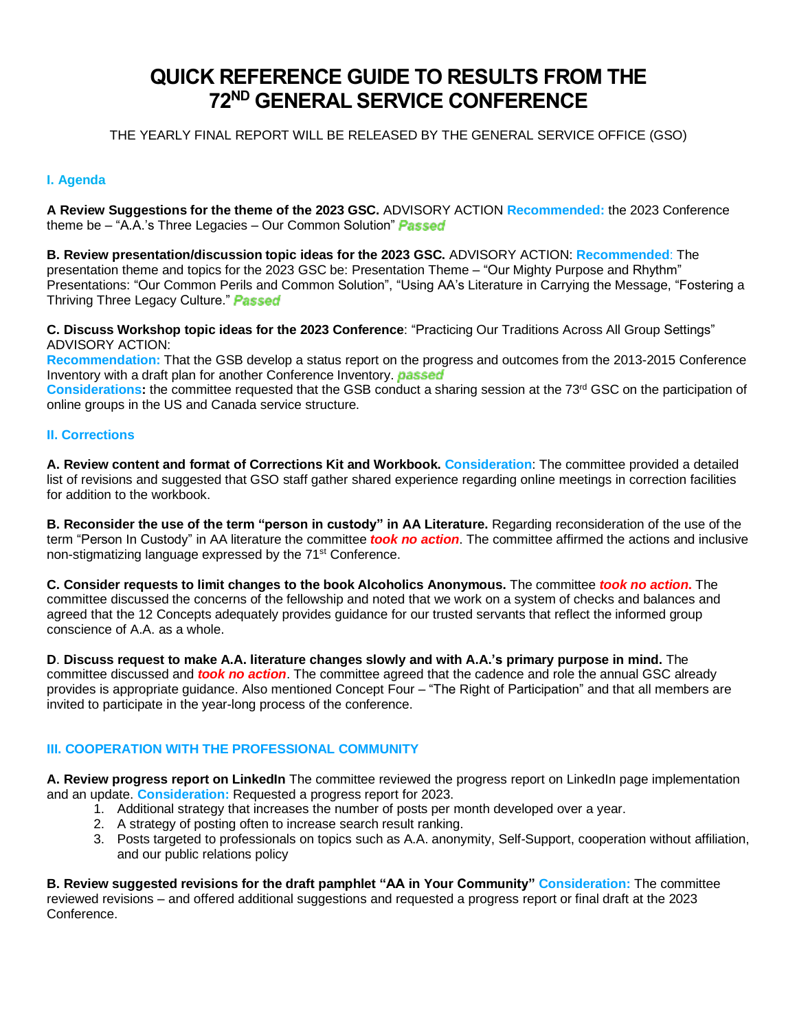# **QUICK REFERENCE GUIDE TO RESULTS FROM THE 72ND GENERAL SERVICE CONFERENCE**

THE YEARLY FINAL REPORT WILL BE RELEASED BY THE GENERAL SERVICE OFFICE (GSO)

## **I. Agenda**

**A Review Suggestions for the theme of the 2023 GSC.** ADVISORY ACTION **Recommended:** the 2023 Conference theme be – "A.A.'s Three Legacies – Our Common Solution" **Passed** 

**B. Review presentation/discussion topic ideas for the 2023 GSC.** ADVISORY ACTION: **Recommended**: The presentation theme and topics for the 2023 GSC be: Presentation Theme – "Our Mighty Purpose and Rhythm" Presentations: "Our Common Perils and Common Solution", "Using AA's Literature in Carrying the Message, "Fostering a Thriving Three Legacy Culture." Passed

**C. Discuss Workshop topic ideas for the 2023 Conference**: "Practicing Our Traditions Across All Group Settings" ADVISORY ACTION:

**Recommendation:** That the GSB develop a status report on the progress and outcomes from the 2013-2015 Conference Inventory with a draft plan for another Conference Inventory. passed

**Considerations:** the committee requested that the GSB conduct a sharing session at the 73rd GSC on the participation of online groups in the US and Canada service structure.

#### **II. Corrections**

**A. Review content and format of Corrections Kit and Workbook. Consideration**: The committee provided a detailed list of revisions and suggested that GSO staff gather shared experience regarding online meetings in correction facilities for addition to the workbook.

**B. Reconsider the use of the term "person in custody" in AA Literature.** Regarding reconsideration of the use of the term "Person In Custody" in AA literature the committee *took no action*. The committee affirmed the actions and inclusive non-stigmatizing language expressed by the 71st Conference.

**C. Consider requests to limit changes to the book Alcoholics Anonymous.** The committee *took no action***.** The committee discussed the concerns of the fellowship and noted that we work on a system of checks and balances and agreed that the 12 Concepts adequately provides guidance for our trusted servants that reflect the informed group conscience of A.A. as a whole.

**D**. **Discuss request to make A.A. literature changes slowly and with A.A.'s primary purpose in mind.** The committee discussed and *took no action*. The committee agreed that the cadence and role the annual GSC already provides is appropriate guidance. Also mentioned Concept Four – "The Right of Participation" and that all members are invited to participate in the year-long process of the conference.

## **III. COOPERATION WITH THE PROFESSIONAL COMMUNITY**

**A. Review progress report on LinkedIn** The committee reviewed the progress report on LinkedIn page implementation and an update. **Consideration:** Requested a progress report for 2023.

- 1. Additional strategy that increases the number of posts per month developed over a year.
- 2. A strategy of posting often to increase search result ranking.
- 3. Posts targeted to professionals on topics such as A.A. anonymity, Self-Support, cooperation without affiliation, and our public relations policy

**B. Review suggested revisions for the draft pamphlet "AA in Your Community" Consideration:** The committee reviewed revisions – and offered additional suggestions and requested a progress report or final draft at the 2023 Conference.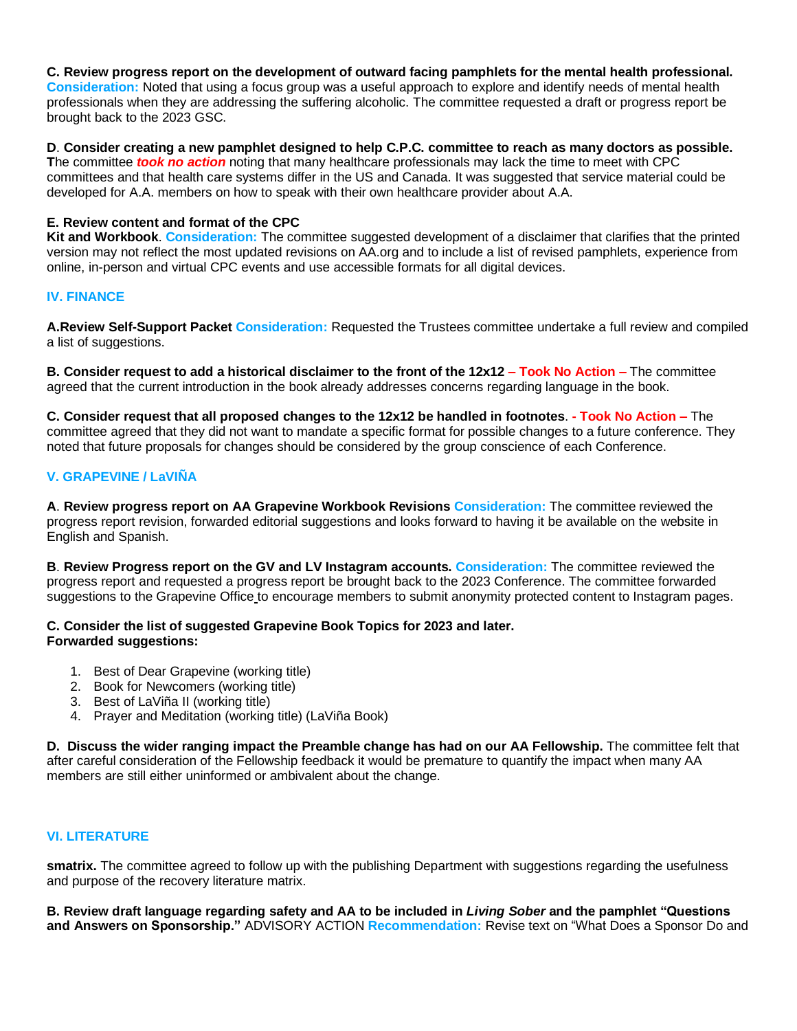**C. Review progress report on the development of outward facing pamphlets for the mental health professional. Consideration:** Noted that using a focus group was a useful approach to explore and identify needs of mental health professionals when they are addressing the suffering alcoholic. The committee requested a draft or progress report be brought back to the 2023 GSC.

D. Consider creating a new pamphlet designed to help C.P.C. committee to reach as many doctors as possible. **T**he committee *took no action* noting that many healthcare professionals may lack the time to meet with CPC committees and that health care systems differ in the US and Canada. It was suggested that service material could be developed for A.A. members on how to speak with their own healthcare provider about A.A.

## **E. Review content and format of the CPC**

**Kit and Workbook**. **Consideration:** The committee suggested development of a disclaimer that clarifies that the printed version may not reflect the most updated revisions on AA.org and to include a list of revised pamphlets, experience from online, in-person and virtual CPC events and use accessible formats for all digital devices.

## **IV. FINANCE**

**A.Review Self-Support Packet Consideration:** Requested the Trustees committee undertake a full review and compiled a list of suggestions.

B. Consider request to add a historical disclaimer to the front of the 12x12 - Took No Action - The committee agreed that the current introduction in the book already addresses concerns regarding language in the book.

C. Consider request that all proposed changes to the 12x12 be handled in footnotes. - Took No Action - The committee agreed that they did not want to mandate a specific format for possible changes to a future conference. They noted that future proposals for changes should be considered by the group conscience of each Conference.

## **V. GRAPEVINE / LaVIÑA**

**A**. **Review progress report on AA Grapevine Workbook Revisions Consideration:** The committee reviewed the progress report revision, forwarded editorial suggestions and looks forward to having it be available on the website in English and Spanish.

**B**. **Review Progress report on the GV and LV Instagram accounts. Consideration:** The committee reviewed the progress report and requested a progress report be brought back to the 2023 Conference. The committee forwarded suggestions to the Grapevine Office to encourage members to submit anonymity protected content to Instagram pages.

#### **C. Consider the list of suggested Grapevine Book Topics for 2023 and later. Forwarded suggestions:**

- 1. Best of Dear Grapevine (working title)
- 2. Book for Newcomers (working title)
- 3. Best of LaViña II (working title)
- 4. Prayer and Meditation (working title) (LaViña Book)

**D. Discuss the wider ranging impact the Preamble change has had on our AA Fellowship.** The committee felt that after careful consideration of the Fellowship feedback it would be premature to quantify the impact when many AA members are still either uninformed or ambivalent about the change.

#### **VI. LITERATURE**

**smatrix.** The committee agreed to follow up with the publishing Department with suggestions regarding the usefulness and purpose of the recovery literature matrix.

B. Review draft language regarding safety and AA to be included in *Living Sober* and the pamphlet "Questions" **and Answers on Sponsorship."** ADVISORY ACTION **Recommendation:** Revise text on "What Does a Sponsor Do and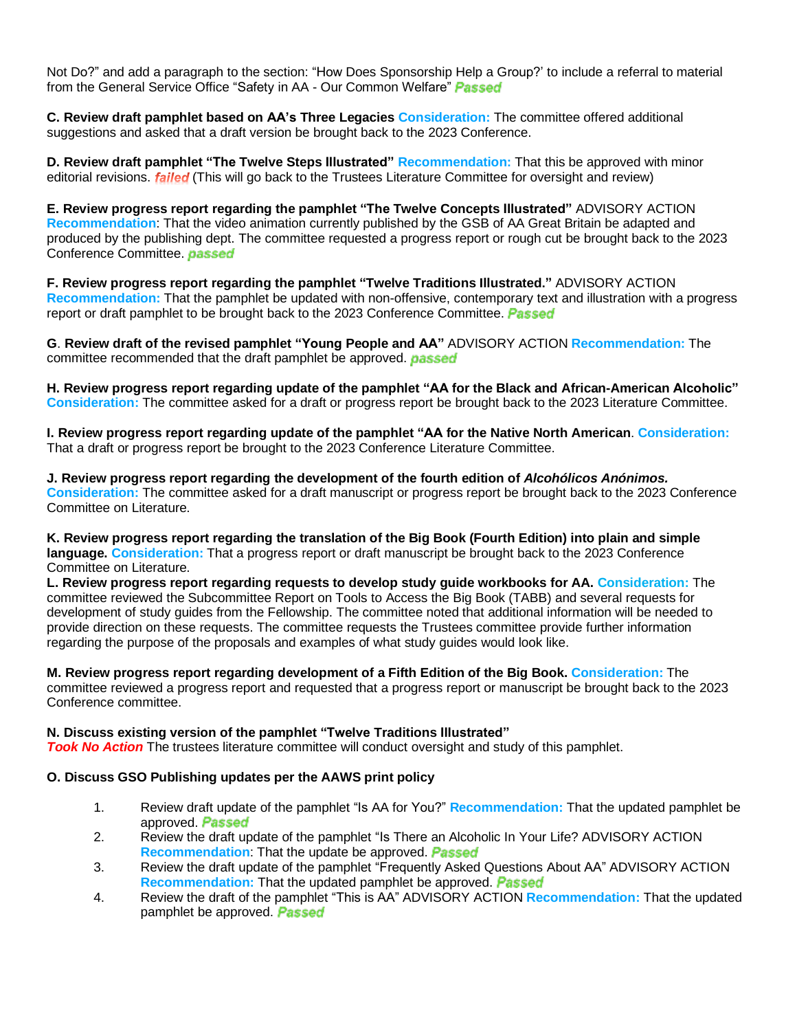Not Do?" and add a paragraph to the section: "How Does Sponsorship Help a Group?' to include a referral to material from the General Service Office "Safety in AA - Our Common Welfare" **Passed** 

**C. Review draft pamphlet based on AA's Three Legacies Consideration:** The committee offered additional suggestions and asked that a draft version be brought back to the 2023 Conference.

**D. Review draft pamphlet "The Twelve Steps Illustrated" Recommendation:** That this be approved with minor editorial revisions. *failed* (This will go back to the Trustees Literature Committee for oversight and review)

**E. Review progress report regarding the pamphlet "The Twelve Concepts Illustrated"** ADVISORY ACTION **Recommendation**: That the video animation currently published by the GSB of AA Great Britain be adapted and produced by the publishing dept. The committee requested a progress report or rough cut be brought back to the 2023 Conference Committee. **passed** 

**F. Review progress report regarding the pamphlet "Twelve Traditions Illustrated."** ADVISORY ACTION **Recommendation:** That the pamphlet be updated with non-offensive, contemporary text and illustration with a progress report or draft pamphlet to be brought back to the 2023 Conference Committee. **Passed** 

**G**. **Review draft of the revised pamphlet "Young People and AA"** ADVISORY ACTION **Recommendation:** The committee recommended that the draft pamphlet be approved. passed

**H. Review progress report regarding update of the pamphlet "AA for the Black and African-American Alcoholic" Consideration:** The committee asked for a draft or progress report be brought back to the 2023 Literature Committee.

**I. Review progress report regarding update of the pamphlet "AA for the Native North American**. **Consideration:** That a draft or progress report be brought to the 2023 Conference Literature Committee.

**J. Review progress report regarding the development of the fourth edition of** *Alcohólicos Anónimos.* **Consideration:** The committee asked for a draft manuscript or progress report be brought back to the 2023 Conference Committee on Literature.

K. Review progress report regarding the translation of the Big Book (Fourth Edition) into plain and simple **language. Consideration:** That a progress report or draft manuscript be brought back to the 2023 Conference Committee on Literature.

**L. Review progress report regarding requests to develop study guide workbooks for AA. Consideration:** The committee reviewed the Subcommittee Report on Tools to Access the Big Book (TABB) and several requests for development of study guides from the Fellowship. The committee noted that additional information will be needed to provide direction on these requests. The committee requests the Trustees committee provide further information regarding the purpose of the proposals and examples of what study guides would look like.

**M. Review progress report regarding development of a Fifth Edition of the Big Book. Consideration:** The committee reviewed a progress report and requested that a progress report or manuscript be brought back to the 2023 Conference committee.

#### **N. Discuss existing version of the pamphlet "Twelve Traditions Illustrated"**

**Took No Action** The trustees literature committee will conduct oversight and study of this pamphlet.

## **O. Discuss GSO Publishing updates per the AAWS print policy**

- 1. Review draft update of the pamphlet "Is AA for You?" **Recommendation:** That the updated pamphlet be approved **Passed**
- 2. Review the draft update of the pamphlet "Is There an Alcoholic In Your Life? ADVISORY ACTION **Recommendation**: That the update be approved.
- 3. Review the draft update of the pamphlet "Frequently Asked Questions About AA" ADVISORY ACTION **Recommendation:** That the updated pamphlet be approved.
- 4. Review the draft of the pamphlet "This is AA" ADVISORY ACTION **Recommendation:** That the updated pamphlet be approved. **Passed**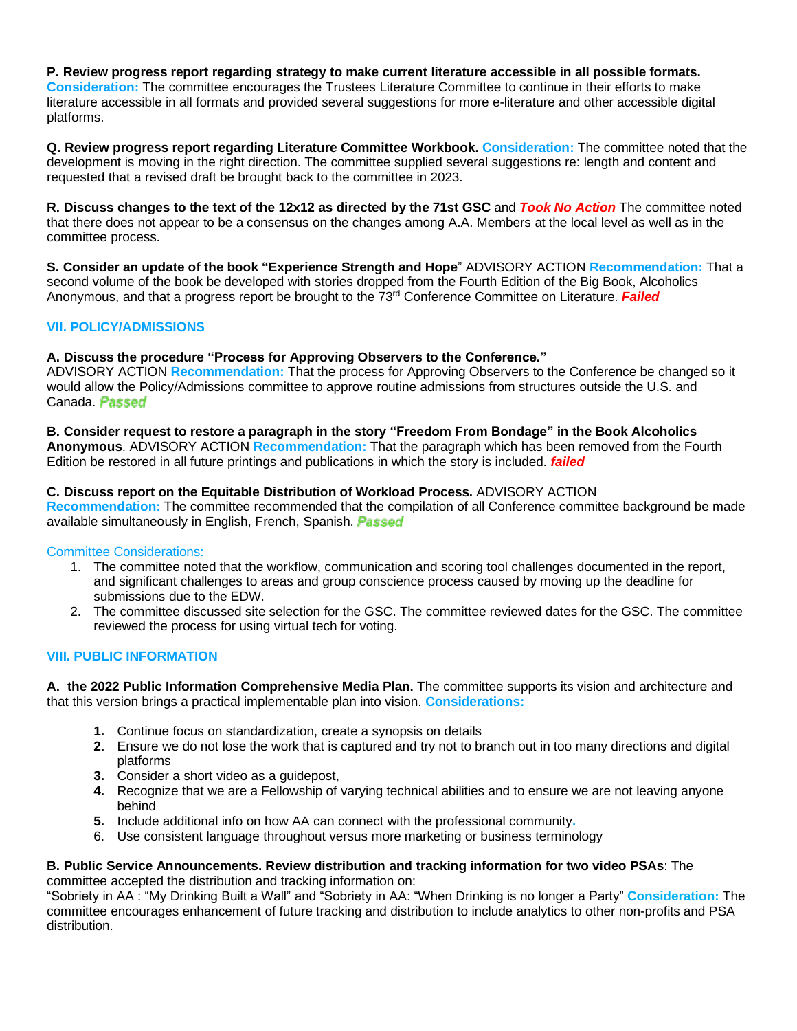**P. Review progress report regarding strategy to make current literature accessible in all possible formats. Consideration:** The committee encourages the Trustees Literature Committee to continue in their efforts to make literature accessible in all formats and provided several suggestions for more e-literature and other accessible digital platforms.

**Q. Review progress report regarding Literature Committee Workbook. Consideration:** The committee noted that the development is moving in the right direction. The committee supplied several suggestions re: length and content and requested that a revised draft be brought back to the committee in 2023.

R. Discuss changes to the text of the 12x12 as directed by the 71st GSC and Took No Action The committee noted that there does not appear to be a consensus on the changes among A.A. Members at the local level as well as in the committee process.

**S. Consider an update of the book "Experience Strength and Hope**" ADVISORY ACTION **Recommendation:** That a second volume of the book be developed with stories dropped from the Fourth Edition of the Big Book, Alcoholics Anonymous, and that a progress report be brought to the 73rd Conference Committee on Literature. *Failed*

## **VII. POLICY/ADMISSIONS**

#### **A. Discuss the procedure "Process for Approving Observers to the Conference."**

ADVISORY ACTION **Recommendation:** That the process for Approving Observers to the Conference be changed so it would allow the Policy/Admissions committee to approve routine admissions from structures outside the U.S. and Canada **Passed** 

#### **B. Consider request to restore a paragraph in the story "Freedom From Bondage" in the Book Alcoholics**

**Anonymous**. ADVISORY ACTION **Recommendation:** That the paragraph which has been removed from the Fourth Edition be restored in all future printings and publications in which the story is included. *failed*

#### **C. Discuss report on the Equitable Distribution of Workload Process.** ADVISORY ACTION

**Recommendation:** The committee recommended that the compilation of all Conference committee background be made available simultaneously in English, French, Spanish. Passed

#### Committee Considerations:

- 1. The committee noted that the workflow, communication and scoring tool challenges documented in the report, and significant challenges to areas and group conscience process caused by moving up the deadline for submissions due to the EDW.
- 2. The committee discussed site selection for the GSC. The committee reviewed dates for the GSC. The committee reviewed the process for using virtual tech for voting.

#### **VIII. PUBLIC INFORMATION**

**A. the 2022 Public Information Comprehensive Media Plan.** The committee supports its vision and architecture and that this version brings a practical implementable plan into vision. **Considerations:**

- **1.** Continue focus on standardization, create a synopsis on details
- **2.** Ensure we do not lose the work that is captured and try not to branch out in too many directions and digital platforms
- **3.** Consider a short video as a guidepost,
- **4.** Recognize that we are a Fellowship of varying technical abilities and to ensure we are not leaving anyone behind
- **5.** Include additional info on how AA can connect with the professional community**.**
- 6. Use consistent language throughout versus more marketing or business terminology

## **B. Public Service Announcements. Review distribution and tracking information for two video PSAs**: The

committee accepted the distribution and tracking information on:

"Sobriety in AA : "My Drinking Built a Wall" and "Sobriety in AA: "When Drinking is no longer a Party" **Consideration:** The committee encourages enhancement of future tracking and distribution to include analytics to other non-profits and PSA distribution.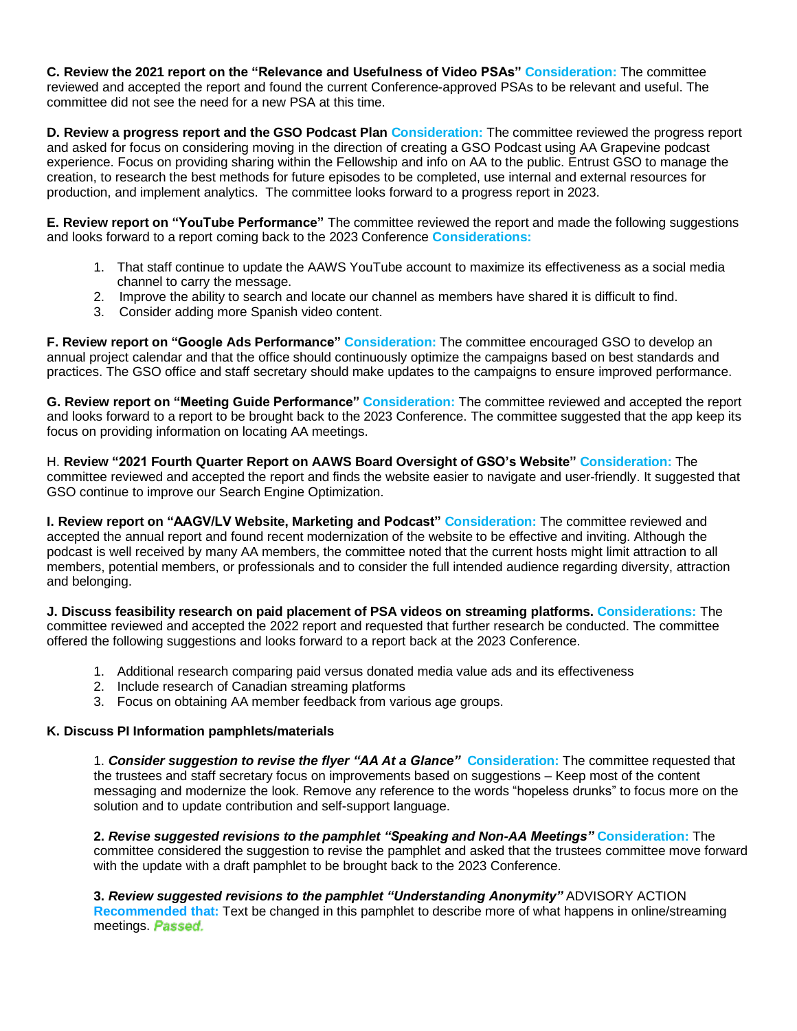**C. Review the 2021 report on the "Relevance and Usefulness of Video PSAs" Consideration:** The committee reviewed and accepted the report and found the current Conference-approved PSAs to be relevant and useful. The committee did not see the need for a new PSA at this time.

**D. Review a progress report and the GSO Podcast Plan Consideration:** The committee reviewed the progress report and asked for focus on considering moving in the direction of creating a GSO Podcast using AA Grapevine podcast experience. Focus on providing sharing within the Fellowship and info on AA to the public. Entrust GSO to manage the creation, to research the best methods for future episodes to be completed, use internal and external resources for production, and implement analytics. The committee looks forward to a progress report in 2023.

**E. Review report on "YouTube Performance"** The committee reviewed the report and made the following suggestions and looks forward to a report coming back to the 2023 Conference **Considerations:**

- 1. That staff continue to update the AAWS YouTube account to maximize its effectiveness as a social media channel to carry the message.
- 2. Improve the ability to search and locate our channel as members have shared it is difficult to find.
- 3. Consider adding more Spanish video content.

**F. Review report on "Google Ads Performance" Consideration:** The committee encouraged GSO to develop an annual project calendar and that the office should continuously optimize the campaigns based on best standards and practices. The GSO office and staff secretary should make updates to the campaigns to ensure improved performance.

**G. Review report on "Meeting Guide Performance" Consideration:** The committee reviewed and accepted the report and looks forward to a report to be brought back to the 2023 Conference. The committee suggested that the app keep its focus on providing information on locating AA meetings.

H. **Review "2021 Fourth Quarter Report on AAWS Board Oversight of GSO's Website" Consideration:** The committee reviewed and accepted the report and finds the website easier to navigate and user-friendly. It suggested that GSO continue to improve our Search Engine Optimization.

**I. Review report on "AAGV/LV Website, Marketing and Podcast" Consideration:** The committee reviewed and accepted the annual report and found recent modernization of the website to be effective and inviting. Although the podcast is well received by many AA members, the committee noted that the current hosts might limit attraction to all members, potential members, or professionals and to consider the full intended audience regarding diversity, attraction and belonging.

**J. Discuss feasibility research on paid placement of PSA videos on streaming platforms. Considerations:** The committee reviewed and accepted the 2022 report and requested that further research be conducted. The committee offered the following suggestions and looks forward to a report back at the 2023 Conference.

- 1. Additional research comparing paid versus donated media value ads and its effectiveness
- 2. Include research of Canadian streaming platforms
- 3. Focus on obtaining AA member feedback from various age groups.

#### **K. Discuss PI Information pamphlets/materials**

1. *Consider suggestion to revise the flyer "AA At a Glance"* **Consideration:** The committee requested that the trustees and staff secretary focus on improvements based on suggestions – Keep most of the content messaging and modernize the look. Remove any reference to the words "hopeless drunks" to focus more on the solution and to update contribution and self-support language.

**2.** *Revise suggested revisions to the pamphlet "Speaking and Non-AA Meetings"* **Consideration:** The committee considered the suggestion to revise the pamphlet and asked that the trustees committee move forward with the update with a draft pamphlet to be brought back to the 2023 Conference.

**3.** *Review suggested revisions to the pamphlet "Understanding Anonymity"* ADVISORY ACTION **Recommended that:** Text be changed in this pamphlet to describe more of what happens in online/streaming meetings. Passed.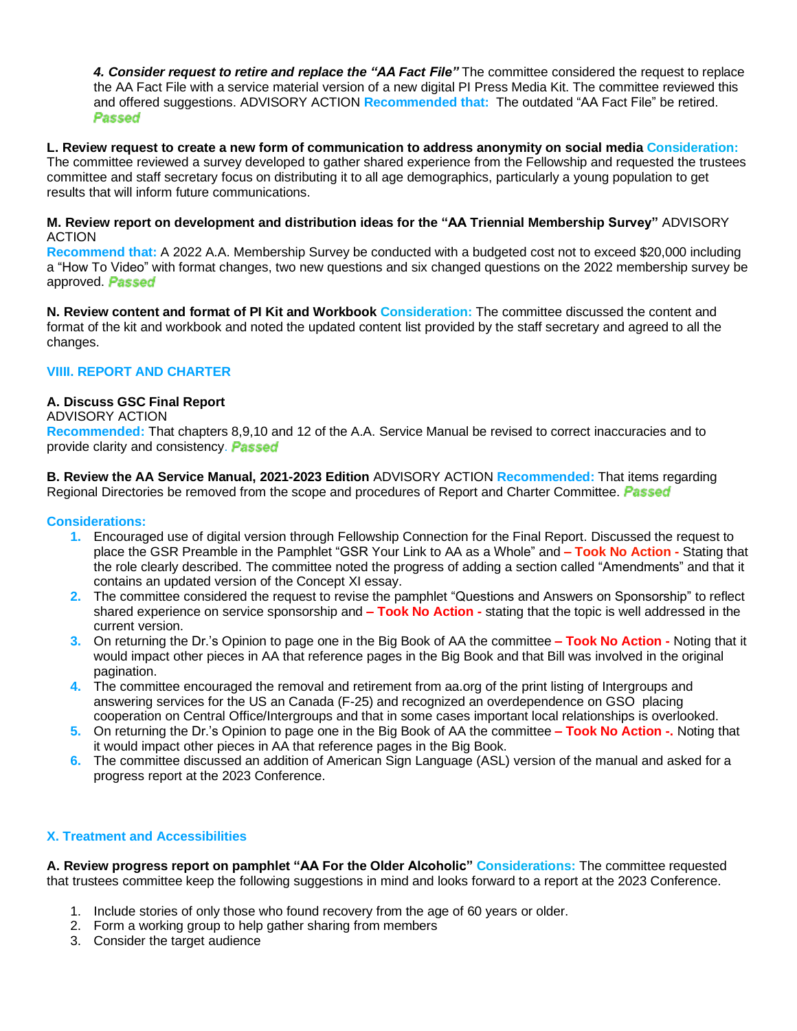*4. Consider request to retire and replace the "AA Fact File"* The committee considered the request to replace the AA Fact File with a service material version of a new digital PI Press Media Kit. The committee reviewed this and offered suggestions. ADVISORY ACTION **Recommended that:** The outdated "AA Fact File" be retired. Passed

L. Review request to create a new form of communication to address anonymity on social media Consideration: The committee reviewed a survey developed to gather shared experience from the Fellowship and requested the trustees committee and staff secretary focus on distributing it to all age demographics, particularly a young population to get results that will inform future communications.

**M. Review report on development and distribution ideas for the "AA Triennial Membership Survey"** ADVISORY ACTION

**Recommend that:** A 2022 A.A. Membership Survey be conducted with a budgeted cost not to exceed \$20,000 including a "How To Video" with format changes, two new questions and six changed questions on the 2022 membership survey be approved **Passed** 

**N. Review content and format of PI Kit and Workbook Consideration:** The committee discussed the content and format of the kit and workbook and noted the updated content list provided by the staff secretary and agreed to all the changes.

## **VIIII. REPORT AND CHARTER**

#### **A. Discuss GSC Final Report**

ADVISORY ACTION **Recommended:** That chapters 8,9,10 and 12 of the A.A. Service Manual be revised to correct inaccuracies and to provide clarity and consistency. **Passed** 

**B. Review the AA Service Manual, 2021-2023 Edition** ADVISORY ACTION **Recommended:** That items regarding Regional Directories be removed from the scope and procedures of Report and Charter Committee. Passed

#### **Considerations:**

- **1.** Encouraged use of digital version through Fellowship Connection for the Final Report. Discussed the request to place the GSR Preamble in the Pamphlet "GSR Your Link to AA as a Whole" and **– Took No Action -** Stating that the role clearly described. The committee noted the progress of adding a section called "Amendments" and that it contains an updated version of the Concept XI essay.
- **2.** The committee considered the request to revise the pamphlet "Questions and Answers on Sponsorship" to reflect shared experience on service sponsorship and **– Took No Action -** stating that the topic is well addressed in the current version.
- **3.** On returning the Dr.'s Opinion to page one in the Big Book of AA the committee **– Took No Action -** Noting that it would impact other pieces in AA that reference pages in the Big Book and that Bill was involved in the original pagination.
- **4.** The committee encouraged the removal and retirement from aa.org of the print listing of Intergroups and answering services for the US an Canada (F-25) and recognized an overdependence on GSO placing cooperation on Central Office/Intergroups and that in some cases important local relationships is overlooked.
- **5.** On returning the Dr.'s Opinion to page one in the Big Book of AA the committee **– Took No Action -.** Noting that it would impact other pieces in AA that reference pages in the Big Book.
- **6.** The committee discussed an addition of American Sign Language (ASL) version of the manual and asked for a progress report at the 2023 Conference.

#### **X. Treatment and Accessibilities**

**A. Review progress report on pamphlet "AA For the Older Alcoholic" Considerations:** The committee requested that trustees committee keep the following suggestions in mind and looks forward to a report at the 2023 Conference.

- 1. Include stories of only those who found recovery from the age of 60 years or older.
- 2. Form a working group to help gather sharing from members
- 3. Consider the target audience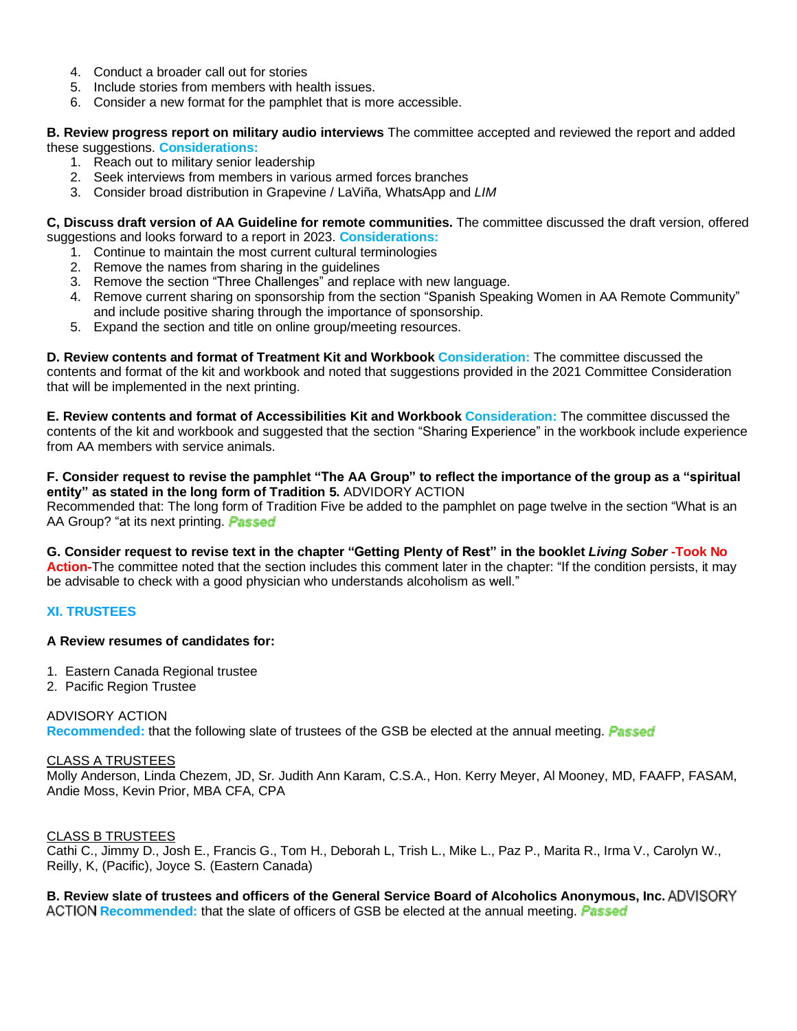- 4. Conduct a broader call out for stories
- 5. Include stories from members with health issues.
- 6. Consider a new format for the pamphlet that is more accessible.

**B. Review progress report on military audio interviews** The committee accepted and reviewed the report and added these suggestions. **Considerations:**

- 1. Reach out to military senior leadership
- 2. Seek interviews from members in various armed forces branches
- 3. Consider broad distribution in Grapevine / LaViña, WhatsApp and *LIM*

**C, Discuss draft version of AA Guideline for remote communities.** The committee discussed the draft version, offered suggestions and looks forward to a report in 2023. **Considerations:**

- 1. Continue to maintain the most current cultural terminologies
- 2. Remove the names from sharing in the guidelines
- 3. Remove the section "Three Challenges" and replace with new language.
- 4. Remove current sharing on sponsorship from the section "Spanish Speaking Women in AA Remote Community" and include positive sharing through the importance of sponsorship.
- 5. Expand the section and title on online group/meeting resources.

**D. Review contents and format of Treatment Kit and Workbook Consideration:** The committee discussed the contents and format of the kit and workbook and noted that suggestions provided in the 2021 Committee Consideration that will be implemented in the next printing.

**E. Review contents and format of Accessibilities Kit and Workbook Consideration:** The committee discussed the contents of the kit and workbook and suggested that the section "Sharing Experience" in the workbook include experience from AA members with service animals.

F. Consider request to revise the pamphlet "The AA Group" to reflect the importance of the group as a "spiritual **entity" as stated in the long form of Tradition 5.** ADVIDORY ACTION

Recommended that: The long form of Tradition Five be added to the pamphlet on page twelve in the section "What is an AA Group? "at its next printing. Passed

G. Consider request to revise text in the chapter "Getting Plenty of Rest" in the booklet Living Sober-Took No **Action-**The committee noted that the section includes this comment later in the chapter: "If the condition persists, it may be advisable to check with a good physician who understands alcoholism as well."

## **XI. TRUSTEES**

#### **A Review resumes of candidates for:**

- 1. Eastern Canada Regional trustee
- 2. Pacific Region Trustee

#### ADVISORY ACTION

**Recommended: that the following slate of trustees of the GSB be elected at the annual meeting. <b>Passed** 

#### CLASS A TRUSTEES

Molly Anderson, Linda Chezem, JD, Sr. Judith Ann Karam, C.S.A., Hon. Kerry Meyer, Al Mooney, MD, FAAFP, FASAM, Andie Moss, Kevin Prior, MBA CFA, CPA

#### CLASS B TRUSTEES

Cathi C., Jimmy D., Josh E., Francis G., Tom H., Deborah L, Trish L., Mike L., Paz P., Marita R., Irma V., Carolyn W., Reilly, K, (Pacific), Joyce S. (Eastern Canada)

**B. Review slate of trustees and officers of the General Service Board of Alcoholics Anonymous, Inc.** ACTION Recommended: that the slate of officers of GSB be elected at the annual meeting. **Passed**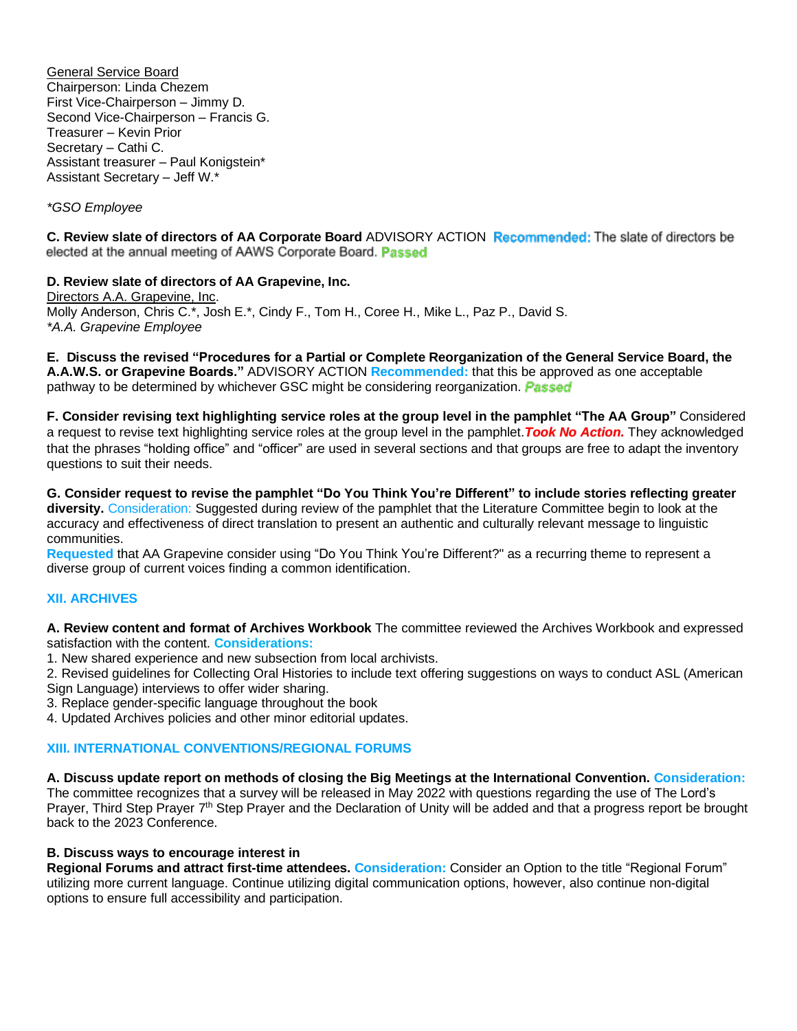General Service Board Chairperson: Linda Chezem First Vice-Chairperson – Jimmy D. Second Vice-Chairperson – Francis G. Treasurer – Kevin Prior Secretary – Cathi C. Assistant treasurer – Paul Konigstein\* Assistant Secretary – Jeff W.\*

## *\*GSO Employee*

**C. Review slate of directors of AA Corporate Board** ADVISORY ACTION elected at the annual meeting of AAWS Corporate Board. Passed

## **D. Review slate of directors of AA Grapevine, Inc.**

Directors A.A. Grapevine, Inc. Molly Anderson, Chris C.\*, Josh E.\*, Cindy F., Tom H., Coree H., Mike L., Paz P., David S. *\*A.A. Grapevine Employee*

**E. Discuss the revised "Procedures for a Partial or Complete Reorganization of the General Service Board, the A.A.W.S. or Grapevine Boards."** ADVISORY ACTION **Recommended:** that this be approved as one acceptable pathway to be determined by whichever GSC might be considering reorganization. **Passed** 

F. Consider revising text highlighting service roles at the group level in the pamphlet "The AA Group" Considered a request to revise text highlighting service roles at the group level in the pamphlet.*Took No Action.* They acknowledged that the phrases "holding office" and "officer" are used in several sections and that groups are free to adapt the inventory questions to suit their needs.

G. Consider request to revise the pamphlet "Do You Think You're Different" to include stories reflecting greater **diversity.** Consideration: Suggested during review of the pamphlet that the Literature Committee begin to look at the accuracy and effectiveness of direct translation to present an authentic and culturally relevant message to linguistic communities.

**Requested** that AA Grapevine consider using "Do You Think You're Different?" as a recurring theme to represent a diverse group of current voices finding a common identification.

## **XII. ARCHIVES**

**A. Review content and format of Archives Workbook** The committee reviewed the Archives Workbook and expressed satisfaction with the content. **Considerations:**

1. New shared experience and new subsection from local archivists.

2. Revised guidelines for Collecting Oral Histories to include text offering suggestions on ways to conduct ASL (American Sign Language) interviews to offer wider sharing.

3. Replace gender-specific language throughout the book

4. Updated Archives policies and other minor editorial updates.

## **XIII. INTERNATIONAL CONVENTIONS/REGIONAL FORUMS**

**A. Discuss update report on methods of closing the Big Meetings at the International Convention. Consideration:** The committee recognizes that a survey will be released in May 2022 with questions regarding the use of The Lord's Prayer, Third Step Prayer 7<sup>th</sup> Step Prayer and the Declaration of Unity will be added and that a progress report be brought back to the 2023 Conference.

## **B. Discuss ways to encourage interest in**

**Regional Forums and attract first-time attendees. Consideration:** Consider an Option to the title "Regional Forum" utilizing more current language. Continue utilizing digital communication options, however, also continue non-digital options to ensure full accessibility and participation.